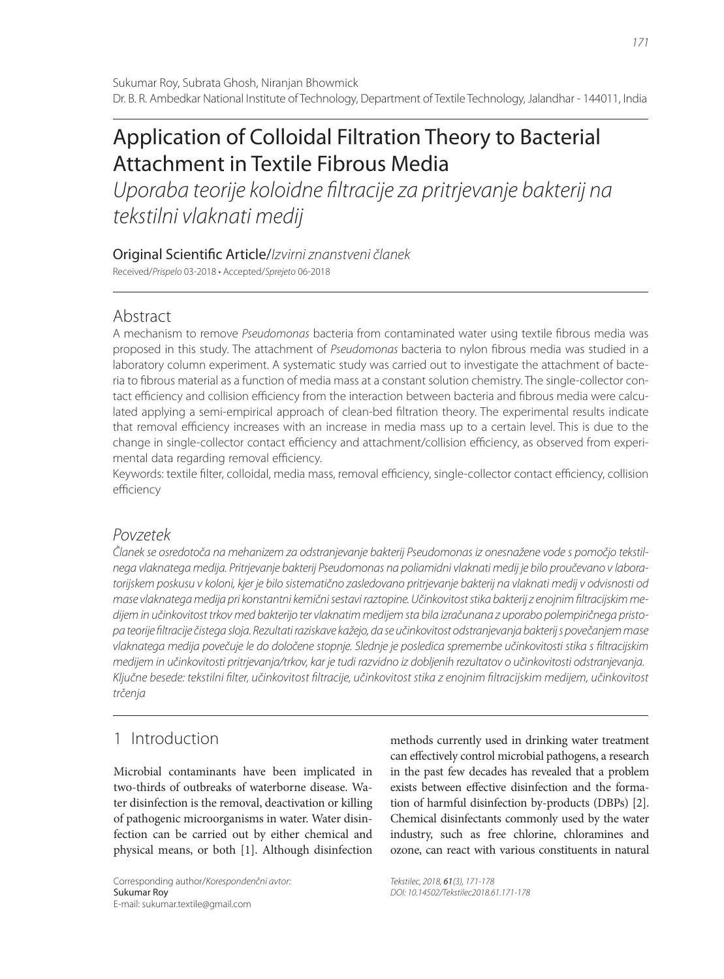# Application of Colloidal Filtration Theory to Bacterial Attachment in Textile Fibrous Media

Uporaba teorije koloidne filtracije za pritrjevanje bakterij na tekstilni vlaknati medij

Original Scientific Article/Izvirni znanstveni članek

Received/Prispelo 03-2018 • Accepted/Sprejeto 06-2018

# Abstract

A mechanism to remove Pseudomonas bacteria from contaminated water using textile fibrous media was proposed in this study. The attachment of Pseudomonas bacteria to nylon fibrous media was studied in a laboratory column experiment. A systematic study was carried out to investigate the attachment of bacteria to fibrous material as a function of media mass at a constant solution chemistry. The single-collector contact efficiency and collision efficiency from the interaction between bacteria and fibrous media were calculated applying a semi-empirical approach of clean-bed filtration theory. The experimental results indicate that removal efficiency increases with an increase in media mass up to a certain level. This is due to the change in single-collector contact efficiency and attachment/collision efficiency, as observed from experimental data regarding removal efficiency.

Keywords: textile filter, colloidal, media mass, removal efficiency, single-collector contact efficiency, collision efficiency

# Povzetek

Članek se osredotoča na mehanizem za odstranjevanje bakterij Pseudomonas iz onesnažene vode s pomočjo tekstilnega vlaknatega medija. Pritrjevanje bakterij Pseudomonas na poliamidni vlaknati medij je bilo proučevano v laboratorijskem poskusu v koloni, kjer je bilo sistematično zasledovano pritrjevanje bakterij na vlaknati medij v odvisnosti od mase vlaknatega medija pri konstantni kemični sestavi raztopine. Učinkovitost stika bakterij z enojnim filtracijskim medijem in učinkovitost trkov med bakterijo ter vlaknatim medijem sta bila izračunana z uporabo polempiričnega pristopa teorije fi ltracije čistega sloja. Rezultati raziskave kažejo, da se učinkovitost odstranjevanja bakterij s povečanjem mase vlaknatega medija povečuje le do določene stopnje. Slednje je posledica spremembe učinkovitosti stika s filtracijskim medijem in učinkovitosti pritrjevanja/trkov, kar je tudi razvidno iz dobljenih rezultatov o učinkovitosti odstranjevanja. Ključne besede: tekstilni filter, učinkovitost filtracije, učinkovitost stika z enojnim filtracijskim medijem, učinkovitost trčenja

# 1 Introduction

Microbial contaminants have been implicated in two-thirds of outbreaks of waterborne disease. Water disinfection is the removal, deactivation or killing of pathogenic microorganisms in water. Water disinfection can be carried out by either chemical and physical means, or both [1]. Although disinfection

methods currently used in drinking water treatment can effectively control microbial pathogens, a research in the past few decades has revealed that a problem exists between effective disinfection and the formation of harmful disinfection by-products (DBPs) [2]. Chemical disinfectants commonly used by the water industry, such as free chlorine, chloramines and ozone, can react with various constituents in natural

Tekstilec, 2018, 61(3), 171-178 DOI: 10.14502/Tekstilec2018.61.171-178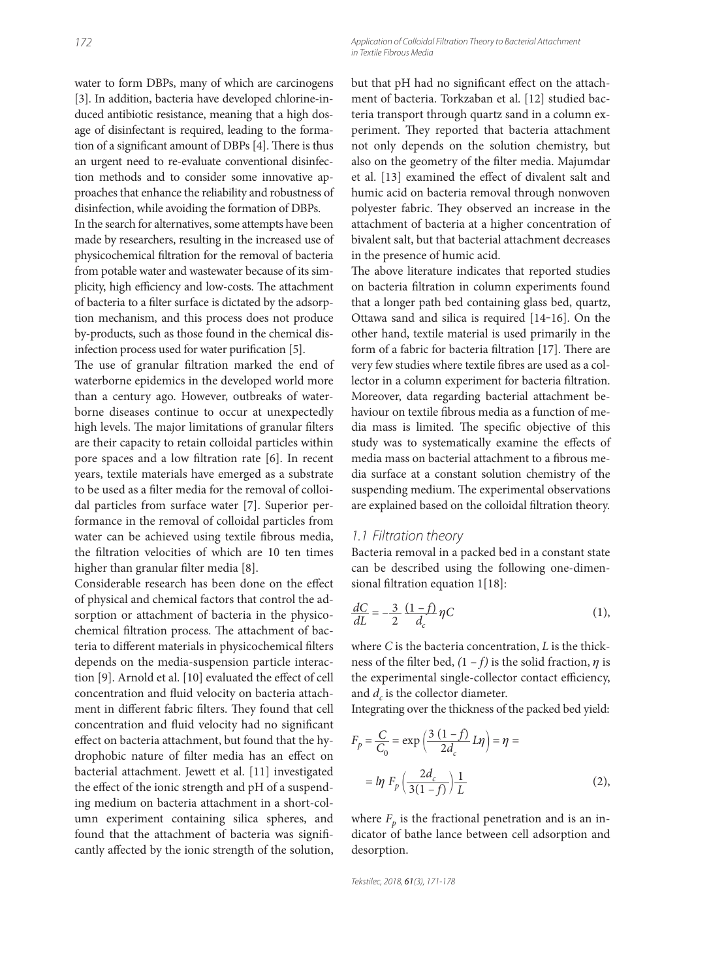Application of Colloidal Filtration Theory to Bacterial Attachment in Textile Fibrous Media

water to form DBPs, many of which are carcinogens [3]. In addition, bacteria have developed chlorine-induced antibiotic resistance, meaning that a high dosage of disinfectant is required, leading to the formation of a significant amount of DBPs [4]. There is thus an urgent need to re-evaluate conventional disinfection methods and to consider some innovative approaches that enhance the reliability and robustness of disinfection, while avoiding the formation of DBPs.

In the search for alternatives, some attempts have been made by researchers, resulting in the increased use of physicochemical filtration for the removal of bacteria from potable water and wastewater because of its simplicity, high efficiency and low-costs. The attachment of bacteria to a filter surface is dictated by the adsorption mechanism, and this process does not produce by-products, such as those found in the chemical disinfection process used for water purification [5].

The use of granular filtration marked the end of waterborne epidemics in the developed world more than a century ago. However, outbreaks of waterborne diseases continue to occur at unexpectedly high levels. The major limitations of granular filters are their capacity to retain colloidal particles within pore spaces and a low filtration rate  $[6]$ . In recent years, textile materials have emerged as a substrate to be used as a filter media for the removal of colloidal particles from surface water [7]. Superior performance in the removal of colloidal particles from water can be achieved using textile fibrous media, the filtration velocities of which are 10 ten times higher than granular filter media [8].

Considerable research has been done on the effect of physical and chemical factors that control the adsorption or attachment of bacteria in the physicochemical filtration process. The attachment of bacteria to different materials in physicochemical filters depends on the media-suspension particle interaction [9]. Arnold et al. [10] evaluated the effect of cell concentration and fluid velocity on bacteria attachment in different fabric filters. They found that cell concentration and fluid velocity had no significant effect on bacteria attachment, but found that the hydrophobic nature of filter media has an effect on bacterial attachment. Jewett et al. [11] investigated the effect of the ionic strength and pH of a suspending medium on bacteria attachment in a short-column experiment containing silica spheres, and found that the attachment of bacteria was significantly affected by the ionic strength of the solution, but that pH had no significant effect on the attachment of bacteria. Torkzaban et al. [12] studied bacteria transport through quartz sand in a column experiment. They reported that bacteria attachment not only depends on the solution chemistry, but also on the geometry of the filter media. Majumdar et al. [13] examined the effect of divalent salt and humic acid on bacteria removal through nonwoven polyester fabric. They observed an increase in the attachment of bacteria at a higher concentration of bivalent salt, but that bacterial attachment decreases in the presence of humic acid.

The above literature indicates that reported studies on bacteria filtration in column experiments found that a longer path bed containing glass bed, quartz, Ottawa sand and silica is required [14‒16]. On the other hand, textile material is used primarily in the form of a fabric for bacteria filtration [17]. There are very few studies where textile fibres are used as a collector in a column experiment for bacteria filtration. Moreover, data regarding bacterial attachment behaviour on textile fibrous media as a function of media mass is limited. The specific objective of this study was to systematically examine the effects of media mass on bacterial attachment to a fibrous media surface at a constant solution chemistry of the suspending medium. The experimental observations are explained based on the colloidal filtration theory.

#### 1.1 Filtration theory

Bacteria removal in a packed bed in a constant state can be described using the following one-dimensional filtration equation 1[18]:

$$
\frac{dC}{dL} = -\frac{3}{2} \frac{(1-f)}{d_c} \eta C \tag{1},
$$

where *C* is the bacteria concentration, *L* is the thickness of the filter bed,  $(1 - f)$  is the solid fraction,  $\eta$  is the experimental single-collector contact efficiency, and  $d_c$  is the collector diameter.

Integrating over the thickness of the packed bed yield:

$$
F_p = \frac{C}{C_0} = \exp\left(\frac{3(1-f)}{2d_c}L\eta\right) = \eta =
$$

$$
= \ln F_p \left(\frac{2d_c}{3(1-f)}\right)\frac{1}{L}
$$
(2),

where  $F_p$  is the fractional penetration and is an indicator of bathe lance between cell adsorption and desorption.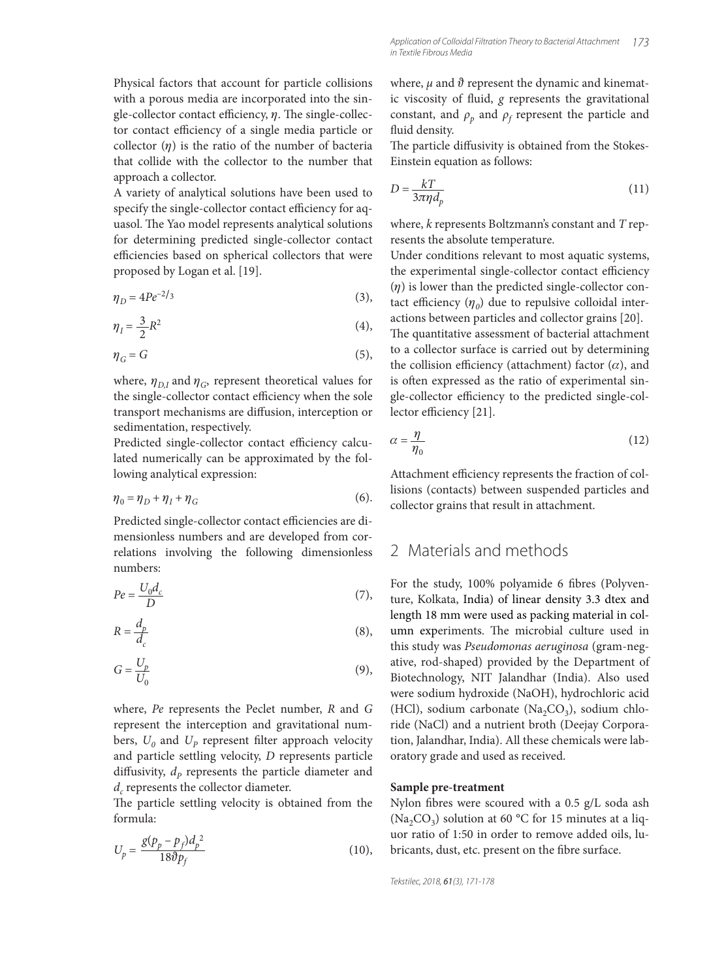Physical factors that account for particle collisions with a porous media are incorporated into the single-collector contact efficiency,  $\eta$ . The single-collector contact efficiency of a single media particle or collector  $(\eta)$  is the ratio of the number of bacteria that collide with the collector to the number that approach a collector.

A variety of analytical solutions have been used to specify the single-collector contact efficiency for aquasol. The Yao model represents analytical solutions for determining predicted single-collector contact efficiencies based on spherical collectors that were proposed by Logan et al. [19].

$$
\eta_D = 4Pe^{-2/3} \tag{3}
$$

$$
\eta_I = \frac{3}{2}R^2\tag{4},
$$

$$
\eta_G = G \tag{5}
$$

where,  $\eta_{D,I}$  and  $\eta_G$ , represent theoretical values for the single-collector contact efficiency when the sole transport mechanisms are diffusion, interception or sedimentation, respectively.

Predicted single-collector contact efficiency calculated numerically can be approximated by the following analytical expression:

$$
\eta_0 = \eta_D + \eta_I + \eta_G \tag{6}
$$

Predicted single-collector contact efficiencies are dimensionless numbers and are developed from correlations involving the following dimensionless numbers:

$$
Pe = \frac{U_0 d_c}{D} \tag{7}
$$

$$
R = \frac{d_p}{d_c} \tag{8}
$$

$$
G = \frac{U_p}{U_0} \tag{9}
$$

where, *Pe* represents the Peclet number, *R* and *G*  represent the interception and gravitational numbers,  $U_0$  and  $U_p$  represent filter approach velocity and particle settling velocity, *D* represents particle diffusivity,  $d_p$  represents the particle diameter and *d<sub>c</sub>* represents the collector diameter.

The particle settling velocity is obtained from the formula:

$$
U_p = \frac{g(p_p - p_f)d_p^2}{18\vartheta p_f} \tag{10}
$$

where,  $\mu$  and  $\vartheta$  represent the dynamic and kinematic viscosity of fluid, *g* represents the gravitational constant, and  $\rho_p$  and  $\rho_f$  represent the particle and fluid density.

The particle diffusivity is obtained from the Stokes-Einstein equation as follows:

$$
D = \frac{kT}{3\pi\eta d_p} \tag{11}
$$

where, *k* represents Boltzmann's constant and *T* represents the absolute temperature.

Under conditions relevant to most aquatic systems, the experimental single-collector contact efficiency  $(\eta)$  is lower than the predicted single-collector contact efficiency  $(\eta_0)$  due to repulsive colloidal interactions between particles and collector grains [20].

The quantitative assessment of bacterial attachment to a collector surface is carried out by determining the collision efficiency (attachment) factor  $(\alpha)$ , and is often expressed as the ratio of experimental single-collector efficiency to the predicted single-collector efficiency [21].

$$
\alpha = \frac{\eta}{\eta_0} \tag{12}
$$

Attachment efficiency represents the fraction of collisions (contacts) between suspended particles and collector grains that result in attachment.

### 2 Materials and methods

For the study, 100% polyamide 6 fibres (Polyventure, Kolkata, India) of linear density 3.3 dtex and length 18 mm were used as packing material in column experiments. The microbial culture used in this study was *Pseudomonas aeruginosa* (gram-negative, rod-shaped) provided by the Department of Biotechnology, NIT Jalandhar (India). Also used were sodium hydroxide (NaOH), hydrochloric acid (HCl), sodium carbonate (Na<sub>2</sub>CO<sub>3</sub>), sodium chloride (NaCl) and a nutrient broth (Deejay Corporation, Jalandhar, India). All these chemicals were laboratory grade and used as received.

#### **Sample pre-treatment**

Nylon fibres were scoured with a 0.5 g/L soda ash (Na<sub>2</sub>CO<sub>3</sub>) solution at 60 °C for 15 minutes at a liquor ratio of 1:50 in order to remove added oils, lubricants, dust, etc. present on the fibre surface.

Tekstilec, 2018, 61(3), 171-178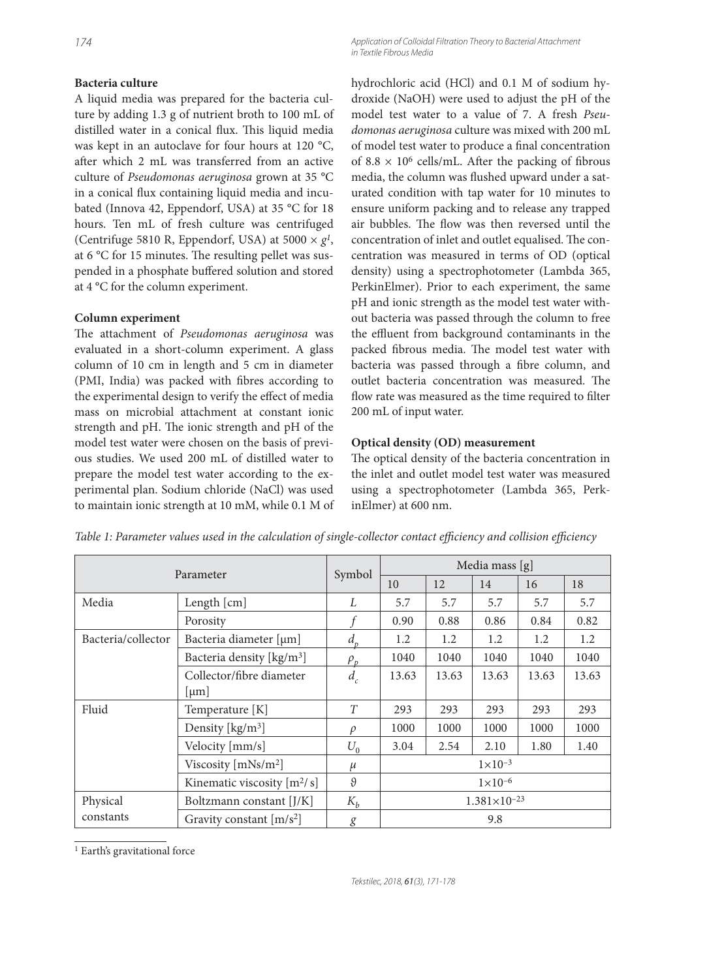### **Bacteria culture**

A liquid media was prepared for the bacteria culture by adding 1.3 g of nutrient broth to 100 mL of distilled water in a conical flux. This liquid media was kept in an autoclave for four hours at 120 °C, after which 2 mL was transferred from an active culture of *Pseudomonas aeruginosa* grown at 35 °C in a conical flux containing liquid media and incubated (Innova 42, Eppendorf, USA) at 35 °C for 18 hours. Ten mL of fresh culture was centrifuged (Centrifuge 5810 R, Eppendorf, USA) at 5000  $\times$   $g<sup>1</sup>$ , at 6  $°C$  for 15 minutes. The resulting pellet was suspended in a phosphate buffered solution and stored at 4 °C for the column experiment.

#### **Column experiment**

The attachment of *Pseudomonas aeruginosa* was evaluated in a short-column experiment. A glass column of 10 cm in length and 5 cm in diameter (PMI, India) was packed with fibres according to the experimental design to verify the effect of media mass on microbial attachment at constant ionic strength and pH. The ionic strength and pH of the model test water were chosen on the basis of previous studies. We used 200 mL of distilled water to prepare the model test water according to the experimental plan. Sodium chloride (NaCl) was used to maintain ionic strength at 10 mM, while 0.1 M of

174 Application of Colloidal Filtration Theory to Bacterial Attachment in Textile Fibrous Media

> hydrochloric acid (HCl) and 0.1 M of sodium hydroxide (NaOH) were used to adjust the pH of the model test water to a value of 7. A fresh *Pseudomonas aeruginosa* culture was mixed with 200 mL of model test water to produce a final concentration of  $8.8 \times 10^6$  cells/mL. After the packing of fibrous media, the column was flushed upward under a saturated condition with tap water for 10 minutes to ensure uniform packing and to release any trapped air bubbles. The flow was then reversed until the concentration of inlet and outlet equalised. The concentration was measured in terms of OD (optical density) using a spectrophotometer (Lambda 365, PerkinElmer). Prior to each experiment, the same pH and ionic strength as the model test water without bacteria was passed through the column to free the effluent from background contaminants in the packed fibrous media. The model test water with bacteria was passed through a fibre column, and outlet bacteria concentration was measured. The flow rate was measured as the time required to filter 200 mL of input water.

#### **Optical density (OD) measurement**

The optical density of the bacteria concentration in the inlet and outlet model test water was measured using a spectrophotometer (Lambda 365, PerkinElmer) at 600 nm.

| Parameter                                    |                                       | Symbol   | Media mass [g]        |       |       |       |       |
|----------------------------------------------|---------------------------------------|----------|-----------------------|-------|-------|-------|-------|
|                                              |                                       |          | 10                    | 12    | 14    | 16    | 18    |
| Media                                        | Length [cm]                           | L        | 5.7                   | 5.7   | 5.7   | 5.7   | 5.7   |
|                                              | Porosity                              |          | 0.90                  | 0.88  | 0.86  | 0.84  | 0.82  |
| Bacteria/collector                           | Bacteria diameter [µm]                | $d_{p}$  | 1.2                   | 1.2   | 1.2   | 1.2   | 1.2   |
|                                              | Bacteria density [kg/m <sup>3</sup> ] | $\rho_p$ | 1040                  | 1040  | 1040  | 1040  | 1040  |
|                                              | Collector/fibre diameter              |          | 13.63                 | 13.63 | 13.63 | 13.63 | 13.63 |
|                                              | $ \mu m $                             |          |                       |       |       |       |       |
| Fluid                                        | Temperature [K]                       | T        | 293                   | 293   | 293   | 293   | 293   |
|                                              | Density [kg/m <sup>3</sup> ]          | $\rho$   | 1000                  | 1000  | 1000  | 1000  | 1000  |
|                                              | Velocity [mm/s]                       | $U_0$    | 3.04                  | 2.54  | 2.10  | 1.80  | 1.40  |
|                                              | Viscosity $[mNs/m2]$                  | $\mu$    | $1 \times 10^{-3}$    |       |       |       |       |
| $\vartheta$<br>Kinematic viscosity $[m^2/s]$ |                                       |          | $1 \times 10^{-6}$    |       |       |       |       |
| Physical                                     | Boltzmann constant [J/K]              | $K_b$    | $1.381\times10^{-23}$ |       |       |       |       |
| constants                                    | Gravity constant $[m/s^2]$            | g        | 9.8                   |       |       |       |       |

*Table 1: Parameter values used in the calculation of single-collector contact efficiency and collision efficiency* 

1 Earth's gravitational force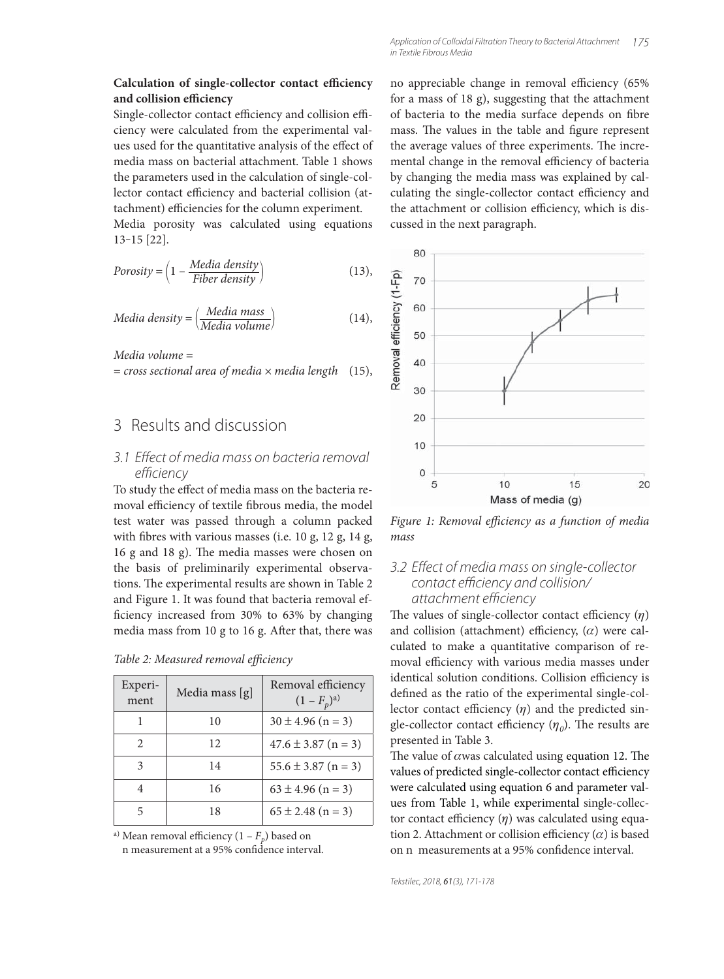#### **Calculation of single-collector contact efficiency** and collision efficiency

Single-collector contact efficiency and collision efficiency were calculated from the experimental values used for the quantitative analysis of the effect of media mass on bacterial attachment. Table 1 shows the parameters used in the calculation of single-collector contact efficiency and bacterial collision (attachment) efficiencies for the column experiment.

Media porosity was calculated using equations 13‒15 [22].

$$
Porosity = \left(1 - \frac{Media density}{Fiber density}\right) \tag{13}
$$

$$
Media density = \left(\frac{Media mass}{Media volume}\right) \tag{14}
$$

*Media volume* =

= *cross sectional area of media* × *media length* (15),

## 3 Results and discussion

### 3.1 Effect of media mass on bacteria removal efficiency

To study the effect of media mass on the bacteria removal efficiency of textile fibrous media, the model test water was passed through a column packed with fibres with various masses (i.e.  $10$  g,  $12$  g,  $14$  g, 16 g and 18 g). The media masses were chosen on the basis of preliminarily experimental observations. The experimental results are shown in Table 2 and Figure 1. It was found that bacteria removal efficiency increased from 30% to 63% by changing media mass from  $10$  g to  $16$  g. After that, there was

|  |  |  | Table 2: Measured removal efficiency |  |  |
|--|--|--|--------------------------------------|--|--|
|--|--|--|--------------------------------------|--|--|

| Experi-<br>ment | Media mass [g] | Removal efficiency<br>$(1 - F_p)^{a}$ |
|-----------------|----------------|---------------------------------------|
|                 | 10             | $30 \pm 4.96$ (n = 3)                 |
| $\mathfrak{D}$  | 12             | $47.6 \pm 3.87$ (n = 3)               |
| 3               | 14             | $55.6 \pm 3.87$ (n = 3)               |
| 4               | 16             | $63 \pm 4.96$ (n = 3)                 |
| 5               | 18             | $65 \pm 2.48$ (n = 3)                 |

a) Mean removal efficiency  $(1 - F_p)$  based on

n measurement at a 95% confidence interval.

no appreciable change in removal efficiency (65% for a mass of 18 g), suggesting that the attachment of bacteria to the media surface depends on fibre mass. The values in the table and figure represent the average values of three experiments. The incremental change in the removal efficiency of bacteria by changing the media mass was explained by calculating the single-collector contact efficiency and the attachment or collision efficiency, which is discussed in the next paragraph.



Figure 1: Removal efficiency as a function of media *mass*

### 3.2 Effect of media mass on single-collector contact efficiency and collision/ attachment efficiency

The values of single-collector contact efficiency  $(\eta)$ and collision (attachment) efficiency,  $(\alpha)$  were calculated to make a quantitative comparison of removal efficiency with various media masses under identical solution conditions. Collision efficiency is defined as the ratio of the experimental single-collector contact efficiency  $(\eta)$  and the predicted single-collector contact efficiency  $(\eta_0)$ . The results are presented in Table 3.

The value of  $\alpha$  was calculated using equation 12. The values of predicted single-collector contact efficiency were calculated using equation 6 and parameter values from Table 1, while experimental single-collector contact efficiency  $(\eta)$  was calculated using equation 2. Attachment or collision efficiency  $(\alpha)$  is based on n measurements at a 95% confidence interval.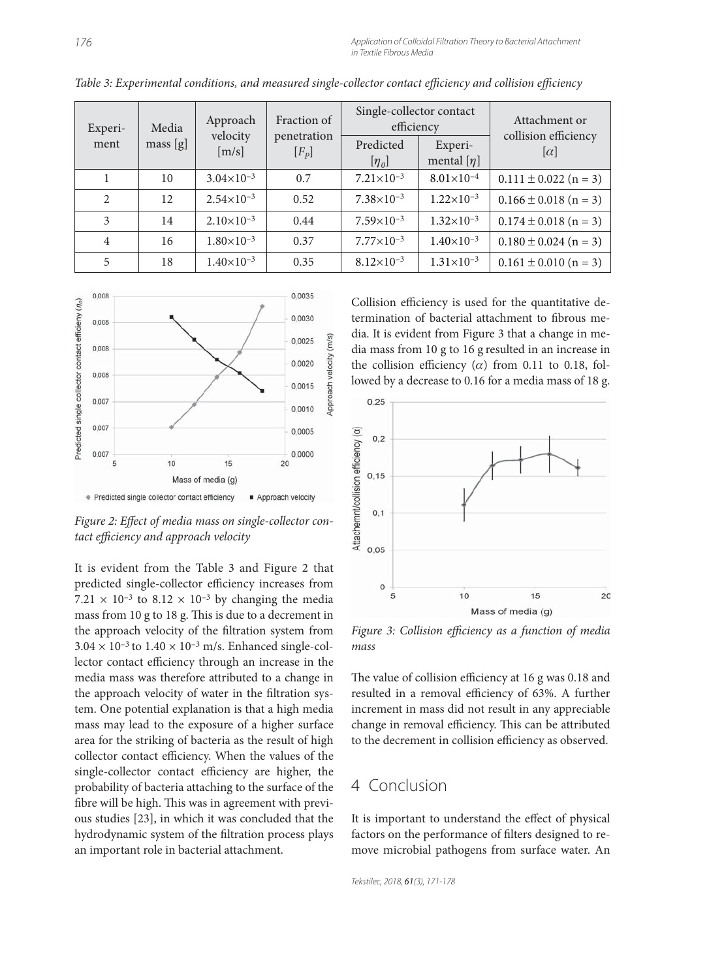| Experi-<br>ment | Media<br>mass[g] | Approach<br>velocity<br>[m/s] | Fraction of            | Single-collector contact<br>efficiency |                            | Attachment or                      |
|-----------------|------------------|-------------------------------|------------------------|----------------------------------------|----------------------------|------------------------------------|
|                 |                  |                               | penetration<br>$[F_p]$ | Predicted<br>$[\eta_{0}]$              | Experi-<br>mental $[\eta]$ | collision efficiency<br>$ \alpha $ |
|                 | 10               | $3.04\times10^{-3}$           | 0.7                    | $7.21\times10^{-3}$                    | $8.01\times10^{-4}$        | $0.111 \pm 0.022$ (n = 3)          |
| $\mathfrak{D}$  | 12               | $2.54 \times 10^{-3}$         | 0.52                   | $7.38\times10^{-3}$                    | $1.22\times10^{-3}$        | $0.166 \pm 0.018$ (n = 3)          |
| 3               | 14               | $2.10\times10^{-3}$           | 0.44                   | $7.59\times10^{-3}$                    | $1.32\times10^{-3}$        | $0.174 \pm 0.018$ (n = 3)          |
| $\overline{4}$  | 16               | $1.80\times10^{-3}$           | 0.37                   | $7.77 \times 10^{-3}$                  | $1.40\times10^{-3}$        | $0.180 \pm 0.024$ (n = 3)          |
| 5               | 18               | $1.40\times10^{-3}$           | 0.35                   | $8.12\times10^{-3}$                    | $1.31\times10^{-3}$        | $0.161 \pm 0.010$ (n = 3)          |

*Table 3: Experimental conditions, and measured single-collector contact efficiency and collision efficiency* 



Figure 2: Effect of media mass on single-collector con*tact effi ciency and approach velocity*

It is evident from the Table 3 and Figure 2 that predicted single-collector efficiency increases from 7.21  $\times$  10<sup>-3</sup> to 8.12  $\times$  10<sup>-3</sup> by changing the media mass from  $10$  g to  $18$  g. This is due to a decrement in the approach velocity of the filtration system from  $3.04 \times 10^{-3}$  to  $1.40 \times 10^{-3}$  m/s. Enhanced single-collector contact efficiency through an increase in the media mass was therefore attributed to a change in the approach velocity of water in the filtration system. One potential explanation is that a high media mass may lead to the exposure of a higher surface area for the striking of bacteria as the result of high collector contact efficiency. When the values of the single-collector contact efficiency are higher, the probability of bacteria attaching to the surface of the fibre will be high. This was in agreement with previous studies [23], in which it was concluded that the hydrodynamic system of the filtration process plays an important role in bacterial attachment.

Collision efficiency is used for the quantitative determination of bacterial attachment to fibrous media. It is evident from Figure 3 that a change in media mass from 10 g to 16 g resulted in an increase in the collision efficiency  $(\alpha)$  from 0.11 to 0.18, followed by a decrease to 0.16 for a media mass of 18 g.



Figure 3: Collision efficiency as a function of media *mass*

The value of collision efficiency at 16 g was 0.18 and resulted in a removal efficiency of 63%. A further increment in mass did not result in any appreciable change in removal efficiency. This can be attributed to the decrement in collision efficiency as observed.

# 4 Conclusion

It is important to understand the effect of physical factors on the performance of filters designed to remove microbial pathogens from surface water. An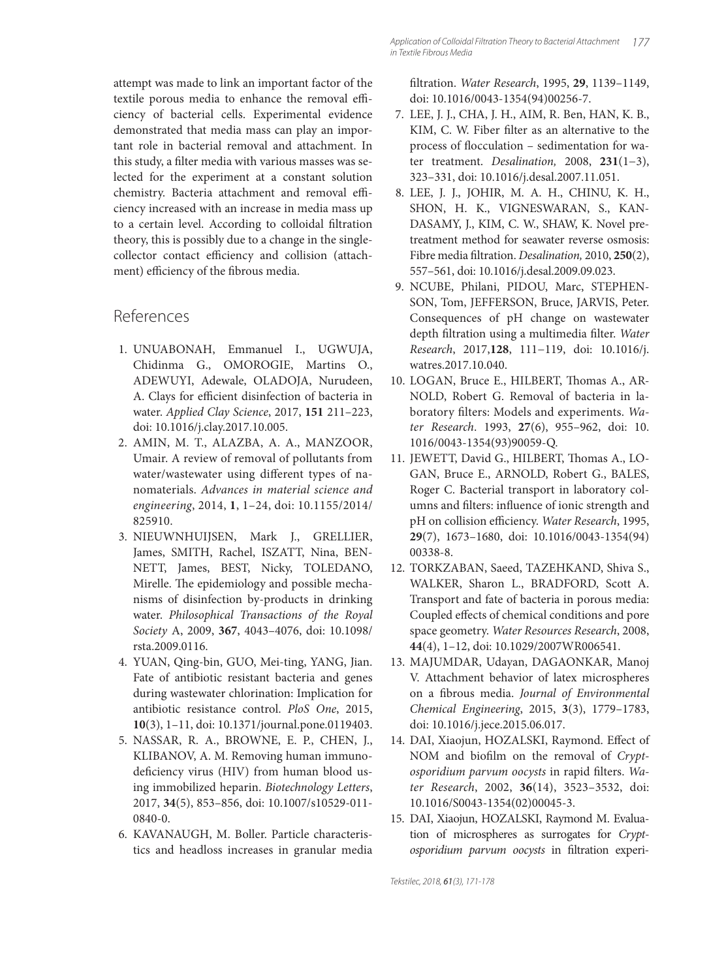attempt was made to link an important factor of the textile porous media to enhance the removal efficiency of bacterial cells. Experimental evidence demonstrated that media mass can play an important role in bacterial removal and attachment. In this study, a filter media with various masses was selected for the experiment at a constant solution chemistry. Bacteria attachment and removal efficiency increased with an increase in media mass up to a certain level. According to colloidal filtration theory, this is possibly due to a change in the singlecollector contact efficiency and collision (attachment) efficiency of the fibrous media.

# References

- 1. UNUABONAH, Emmanuel I., UGWUJA, Chidinma G., OMOROGIE, Martins O., ADEWUYI, Adewale, OLADOJA, Nurudeen, A. Clays for efficient disinfection of bacteria in water. *Applied Clay Science*, 2017, **151** 211–223, doi: 10.1016/j.clay.2017.10.005.
- 2. AMIN, M. T., ALAZBA, A. A., MANZOOR, Umair. A review of removal of pollutants from water/wastewater using different types of nanomaterials. *Advances in material science and engineering*, 2014, **1**, 1–24, doi: 10.1155/2014/ 825910.
- 3. NIEUWNHUIJSEN, Mark J., GRELLIER, James, SMITH, Rachel, ISZATT, Nina, BEN-NETT, James, BEST, Nicky, TOLEDANO, Mirelle. The epidemiology and possible mechanisms of disinfection by-products in drinking water. *Philosophical Transactions of the Royal Society* A, 2009, **367**, 4043–4076, doi: 10.1098/ rsta.2009.0116.
- 4. YUAN, Qing-bin, GUO, Mei-ting, YANG, Jian. Fate of antibiotic resistant bacteria and genes during wastewater chlorination: Implication for antibiotic resistance control. *PloS One*, 2015, **10**(3), 1–11, doi: 10.1371/journal.pone.0119403.
- 5. NASSAR, R. A., BROWNE, E. P., CHEN, J., KLIBANOV, A. M. Removing human immunodeficiency virus (HIV) from human blood using immobilized heparin. *Biotechnology Letters*, 2017, **34**(5), 853–856, doi: 10.1007/s10529-011- 0840-0.
- 6. KAVANAUGH, M. Boller. Particle characteristics and headloss increases in granular media

fi ltration. *Water Research*, 1995, **29**, 1139–1149, doi: 10.1016/0043-1354(94)00256-7.

- 7. LEE, J. J., CHA, J. H., AIM, R. Ben, HAN, K. B., KIM, C. W. Fiber filter as an alternative to the process of flocculation – sedimentation for water treatment. *Desalination,* 2008, **231**(1−3), 323–331, doi: 10.1016/j.desal.2007.11.051.
- 8. LEE, J. J., JOHIR, M. A. H., CHINU, K. H., SHON, H. K., VIGNESWARAN, S., KAN-DASAMY, J., KIM, C. W., SHAW, K. Novel pretreatment method for seawater reverse osmosis: Fibre media filtration. *Desalination*, 2010, 250(2), 557–561, doi: 10.1016/j.desal.2009.09.023.
- 9. NCUBE, Philani, PIDOU, Marc, STEPHEN-SON, Tom, JEFFERSON, Bruce, JARVIS, Peter. Consequences of pH change on wastewater depth filtration using a multimedia filter. Water *Research*, 2017,**128**, 111−119, doi: 10.1016/j. watres.2017.10.040.
- 10. LOGAN, Bruce E., HILBERT, Thomas A., AR-NOLD, Robert G. Removal of bacteria in laboratory filters: Models and experiments. Wa*ter Research*. 1993, **27**(6), 955–962, doi: 10. 1016/0043-1354(93)90059-Q.
- 11. JEWETT, David G., HILBERT, Thomas A., LO-GAN, Bruce E., ARNOLD, Robert G., BALES, Roger C. Bacterial transport in laboratory columns and filters: influence of ionic strength and pH on collision efficiency. Water Research, 1995, **29**(7), 1673–1680, doi: 10.1016/0043-1354(94) 00338-8.
- 12. TORKZABAN, Saeed, TAZEHKAND, Shiva S., WALKER, Sharon L., BRADFORD, Scott A. Transport and fate of bacteria in porous media: Coupled effects of chemical conditions and pore space geometry. *Water Resources Research*, 2008, **44**(4), 1–12, doi: 10.1029/2007WR006541.
- 13. MAJUMDAR, Udayan, DAGAONKAR, Manoj V. Attachment behavior of latex microspheres on a fibrous media. *Journal of Environmental Chemical Engineering*, 2015, **3**(3), 1779–1783, doi: 10.1016/j.jece.2015.06.017.
- 14. DAI, Xiaojun, HOZALSKI, Raymond. Effect of NOM and biofilm on the removal of *Crypt*osporidium parvum oocysts in rapid filters. Wa*ter Research*, 2002, **36**(14), 3523–3532, doi: 10.1016/S0043-1354(02)00045-3.
- 15. DAI, Xiaojun, HOZALSKI, Raymond M. Evaluation of microspheres as surrogates for *Cryptosporidium parvum oocysts* in filtration experi-